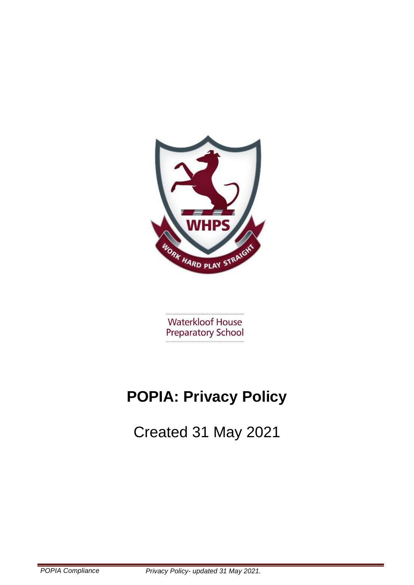

**Waterkloof House Preparatory School** 

# **POPIA: Privacy Policy**

Created 31 May 2021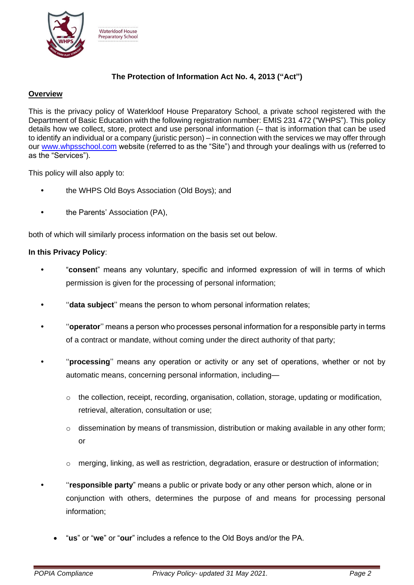

# **The Protection of Information Act No. 4, 2013 ("Act")**

# **Overview**

This is the privacy policy of Waterkloof House Preparatory School, a private school registered with the Department of Basic Education with the following registration number: EMIS 231 472 ("WHPS"). This policy details how we collect, store, protect and use personal information (– that is information that can be used to identify an individual or a company (juristic person) – in connection with the services we may offer through our [www.whpsschool.com](http://www.whpsschool.com/) website (referred to as the "Site") and through your dealings with us (referred to as the "Services").

This policy will also apply to:

- **•** the WHPS Old Boys Association (Old Boys); and
- **•** the Parents' Association (PA),

both of which will similarly process information on the basis set out below.

## **In this Privacy Policy**:

- **•** "**consen**t" means any voluntary, specific and informed expression of will in terms of which permission is given for the processing of personal information;
- **•** ''**data subject**'' means the person to whom personal information relates;
- **•** ''**operator**'' means a person who processes personal information for a responsible party in terms of a contract or mandate, without coming under the direct authority of that party;
- **•** ''**processing**'' means any operation or activity or any set of operations, whether or not by automatic means, concerning personal information, including—
	- $\circ$  the collection, receipt, recording, organisation, collation, storage, updating or modification, retrieval, alteration, consultation or use;
	- $\circ$  dissemination by means of transmission, distribution or making available in any other form; or
	- o merging, linking, as well as restriction, degradation, erasure or destruction of information;
	- **•** ''**responsible party**" means a public or private body or any other person which, alone or in conjunction with others, determines the purpose of and means for processing personal information;
		- "**us**" or "**we**" or "**our**" includes a refence to the Old Boys and/or the PA.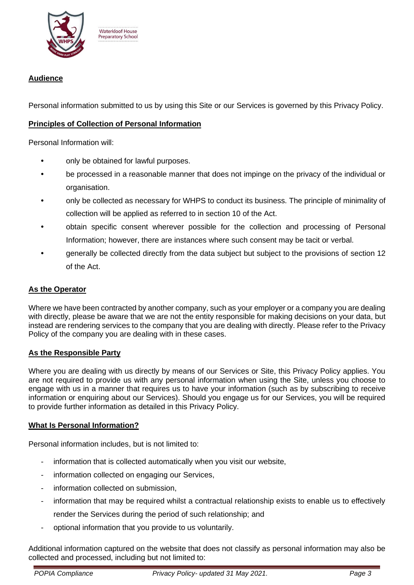

# **Audience**

Personal information submitted to us by using this Site or our Services is governed by this Privacy Policy.

# **Principles of Collection of Personal Information**

Personal Information will:

- **•** only be obtained for lawful purposes.
- **•** be processed in a reasonable manner that does not impinge on the privacy of the individual or organisation.
- **•** only be collected as necessary for WHPS to conduct its business. The principle of minimality of collection will be applied as referred to in section 10 of the Act.
- **•** obtain specific consent wherever possible for the collection and processing of Personal Information; however, there are instances where such consent may be tacit or verbal.
- **•** generally be collected directly from the data subject but subject to the provisions of section 12 of the Act.

# **As the Operator**

Where we have been contracted by another company, such as your employer or a company you are dealing with directly, please be aware that we are not the entity responsible for making decisions on your data, but instead are rendering services to the company that you are dealing with directly. Please refer to the Privacy Policy of the company you are dealing with in these cases.

## **As the Responsible Party**

Where you are dealing with us directly by means of our Services or Site, this Privacy Policy applies. You are not required to provide us with any personal information when using the Site, unless you choose to engage with us in a manner that requires us to have your information (such as by subscribing to receive information or enquiring about our Services). Should you engage us for our Services, you will be required to provide further information as detailed in this Privacy Policy.

## **What Is Personal Information?**

Personal information includes, but is not limited to:

- information that is collected automatically when you visit our website,
- information collected on engaging our Services,
- information collected on submission,
- information that may be required whilst a contractual relationship exists to enable us to effectively render the Services during the period of such relationship; and
- optional information that you provide to us voluntarily.

Additional information captured on the website that does not classify as personal information may also be collected and processed, including but not limited to: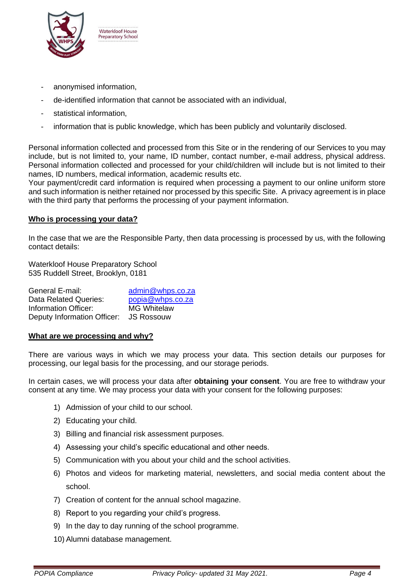

**Waterkloof House Preparatory School** 

- anonymised information,
- de-identified information that cannot be associated with an individual,
- statistical information,
- information that is public knowledge, which has been publicly and voluntarily disclosed.

Personal information collected and processed from this Site or in the rendering of our Services to you may include, but is not limited to, your name, ID number, contact number, e-mail address, physical address. Personal information collected and processed for your child/children will include but is not limited to their names, ID numbers, medical information, academic results etc.

Your payment/credit card information is required when processing a payment to our online uniform store and such information is neither retained nor processed by this specific Site. A privacy agreement is in place with the third party that performs the processing of your payment information.

#### **Who is processing your data?**

In the case that we are the Responsible Party, then data processing is processed by us, with the following contact details:

Waterkloof House Preparatory School 535 Ruddell Street, Brooklyn, 0181

| admin@whps.co.za                       |
|----------------------------------------|
| popia@whps.co.za                       |
| <b>MG Whitelaw</b>                     |
| Deputy Information Officer: JS Rossouw |
|                                        |

#### **What are we processing and why?**

There are various ways in which we may process your data. This section details our purposes for processing, our legal basis for the processing, and our storage periods.

In certain cases, we will process your data after **obtaining your consent**. You are free to withdraw your consent at any time. We may process your data with your consent for the following purposes:

- 1) Admission of your child to our school.
- 2) Educating your child.
- 3) Billing and financial risk assessment purposes.
- 4) Assessing your child's specific educational and other needs.
- 5) Communication with you about your child and the school activities.
- 6) Photos and videos for marketing material, newsletters, and social media content about the school.
- 7) Creation of content for the annual school magazine.
- 8) Report to you regarding your child's progress.
- 9) In the day to day running of the school programme.
- 10) Alumni database management.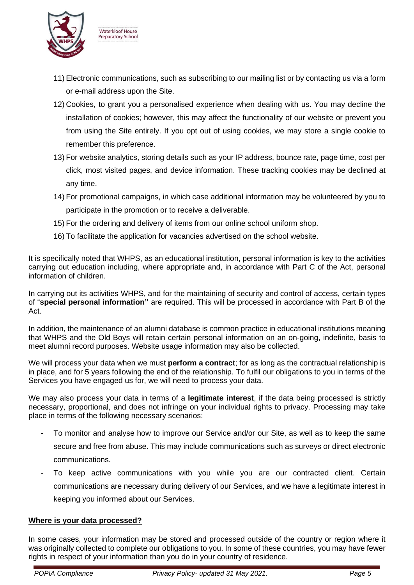

**Waterkloof House** Preparatory School

- 11) Electronic communications, such as subscribing to our mailing list or by contacting us via a form or e-mail address upon the Site.
- 12) Cookies, to grant you a personalised experience when dealing with us. You may decline the installation of cookies; however, this may affect the functionality of our website or prevent you from using the Site entirely. If you opt out of using cookies, we may store a single cookie to remember this preference.
- 13) For website analytics, storing details such as your IP address, bounce rate, page time, cost per click, most visited pages, and device information. These tracking cookies may be declined at any time.
- 14) For promotional campaigns, in which case additional information may be volunteered by you to participate in the promotion or to receive a deliverable.
- 15) For the ordering and delivery of items from our online school uniform shop.
- 16) To facilitate the application for vacancies advertised on the school website.

It is specifically noted that WHPS, as an educational institution, personal information is key to the activities carrying out education including, where appropriate and, in accordance with Part C of the Act, personal information of children.

In carrying out its activities WHPS, and for the maintaining of security and control of access, certain types of "**special personal information"** are required. This will be processed in accordance with Part B of the Act.

In addition, the maintenance of an alumni database is common practice in educational institutions meaning that WHPS and the Old Boys will retain certain personal information on an on-going, indefinite, basis to meet alumni record purposes. Website usage information may also be collected.

We will process your data when we must **perform a contract**; for as long as the contractual relationship is in place, and for 5 years following the end of the relationship. To fulfil our obligations to you in terms of the Services you have engaged us for, we will need to process your data.

We may also process your data in terms of a **legitimate interest**, if the data being processed is strictly necessary, proportional, and does not infringe on your individual rights to privacy. Processing may take place in terms of the following necessary scenarios:

- To monitor and analyse how to improve our Service and/or our Site, as well as to keep the same secure and free from abuse. This may include communications such as surveys or direct electronic communications.
- To keep active communications with you while you are our contracted client. Certain communications are necessary during delivery of our Services, and we have a legitimate interest in keeping you informed about our Services.

# **Where is your data processed?**

In some cases, your information may be stored and processed outside of the country or region where it was originally collected to complete our obligations to you. In some of these countries, you may have fewer rights in respect of your information than you do in your country of residence.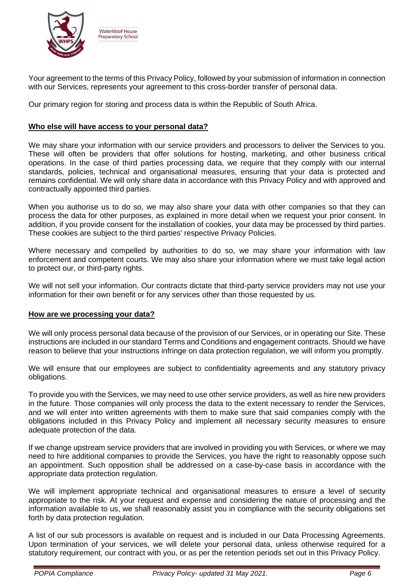

Your agreement to the terms of this Privacy Policy, followed by your submission of information in connection with our Services, represents your agreement to this cross-border transfer of personal data.

Our primary region for storing and process data is within the Republic of South Africa.

# **Who else will have access to your personal data?**

We may share your information with our service providers and processors to deliver the Services to you. These will often be providers that offer solutions for hosting, marketing, and other business critical operations. In the case of third parties processing data, we require that they comply with our internal standards, policies, technical and organisational measures, ensuring that your data is protected and remains confidential. We will only share data in accordance with this Privacy Policy and with approved and contractually appointed third parties.

When you authorise us to do so, we may also share your data with other companies so that they can process the data for other purposes, as explained in more detail when we request your prior consent. In addition, if you provide consent for the installation of cookies, your data may be processed by third parties. These cookies are subject to the third parties' respective Privacy Policies.

Where necessary and compelled by authorities to do so, we may share your information with law enforcement and competent courts. We may also share your information where we must take legal action to protect our, or third-party rights.

We will not sell your information. Our contracts dictate that third-party service providers may not use your information for their own benefit or for any services other than those requested by us.

## **How are we processing your data?**

We will only process personal data because of the provision of our Services, or in operating our Site. These instructions are included in our standard Terms and Conditions and engagement contracts. Should we have reason to believe that your instructions infringe on data protection regulation, we will inform you promptly.

We will ensure that our employees are subject to confidentiality agreements and any statutory privacy obligations.

To provide you with the Services, we may need to use other service providers, as well as hire new providers in the future. Those companies will only process the data to the extent necessary to render the Services, and we will enter into written agreements with them to make sure that said companies comply with the obligations included in this Privacy Policy and implement all necessary security measures to ensure adequate protection of the data.

If we change upstream service providers that are involved in providing you with Services, or where we may need to hire additional companies to provide the Services, you have the right to reasonably oppose such an appointment. Such opposition shall be addressed on a case-by-case basis in accordance with the appropriate data protection regulation.

We will implement appropriate technical and organisational measures to ensure a level of security appropriate to the risk. At your request and expense and considering the nature of processing and the information available to us, we shall reasonably assist you in compliance with the security obligations set forth by data protection regulation.

A list of our sub processors is available on request and is included in our Data Processing Agreements. Upon termination of your services, we will delete your personal data, unless otherwise required for a statutory requirement, our contract with you, or as per the retention periods set out in this Privacy Policy.